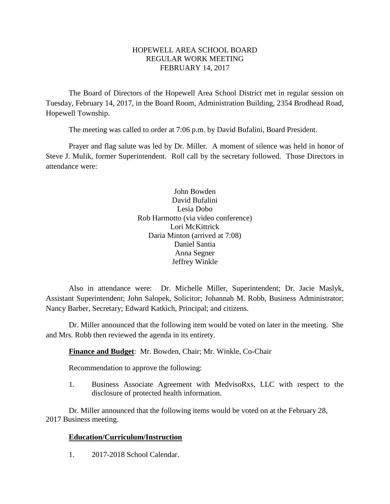### HOPEWELL AREA SCHOOL BOARD REGULAR WORK MEETING FEBRUARY 14, 2017

The Board of Directors of the Hopewell Area School District met in regular session on Tuesday, February 14, 2017, in the Board Room, Administration Building, 2354 Brodhead Road, Hopewell Township.

The meeting was called to order at 7:06 p.m. by David Bufalini, Board President.

Prayer and flag salute was led by Dr. Miller. A moment of silence was held in honor of Steve J. Mulik, former Superintendent. Roll call by the secretary followed. Those Directors in attendance were:

> John Bowden David Bufalini Lesia Dobo Rob Harmotto (via video conference) Lori McKittrick Daria Minton (arrived at 7:08) Daniel Santia Anna Segner Jeffrey Winkle

Also in attendance were: Dr. Michelle Miller, Superintendent; Dr. Jacie Maslyk, Assistant Superintendent; John Salopek, Solicitor; Johannah M. Robb, Business Administrator; Nancy Barber, Secretary; Edward Katkich, Principal; and citizens.

Dr. Miller announced that the following item would be voted on later in the meeting. She and Mrs. Robb then reviewed the agenda in its entirety.

# **Finance and Budget**: Mr. Bowden, Chair; Mr. Winkle, Co-Chair

Recommendation to approve the following:

1. Business Associate Agreement with MedvisoRxs, LLC with respect to the disclosure of protected health information.

Dr. Miller announced that the following items would be voted on at the February 28, 2017 Business meeting.

# **Education/Curriculum/Instruction**

1. 2017-2018 School Calendar.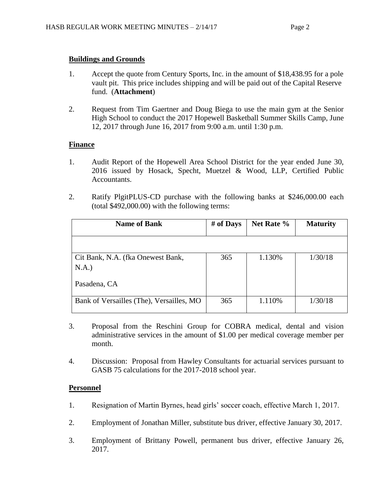### **Buildings and Grounds**

- 1. Accept the quote from Century Sports, Inc. in the amount of \$18,438.95 for a pole vault pit. This price includes shipping and will be paid out of the Capital Reserve fund. (**Attachment**)
- 2. Request from Tim Gaertner and Doug Biega to use the main gym at the Senior High School to conduct the 2017 Hopewell Basketball Summer Skills Camp, June 12, 2017 through June 16, 2017 from 9:00 a.m. until 1:30 p.m.

# **Finance**

- 1. Audit Report of the Hopewell Area School District for the year ended June 30, 2016 issued by Hosack, Specht, Muetzel & Wood, LLP, Certified Public Accountants.
- 2. Ratify PlgitPLUS-CD purchase with the following banks at \$246,000.00 each (total \$492,000.00) with the following terms:

| <b>Name of Bank</b>                      | # of Days | Net Rate % | <b>Maturity</b> |
|------------------------------------------|-----------|------------|-----------------|
|                                          |           |            |                 |
| Cit Bank, N.A. (fka Onewest Bank,        | 365       | 1.130%     | 1/30/18         |
| N.A.)                                    |           |            |                 |
| Pasadena, CA                             |           |            |                 |
| Bank of Versailles (The), Versailles, MO | 365       | 1.110%     | 1/30/18         |

- 3. Proposal from the Reschini Group for COBRA medical, dental and vision administrative services in the amount of \$1.00 per medical coverage member per month.
- 4. Discussion: Proposal from Hawley Consultants for actuarial services pursuant to GASB 75 calculations for the 2017-2018 school year.

# **Personnel**

- 1. Resignation of Martin Byrnes, head girls' soccer coach, effective March 1, 2017.
- 2. Employment of Jonathan Miller, substitute bus driver, effective January 30, 2017.
- 3. Employment of Brittany Powell, permanent bus driver, effective January 26, 2017.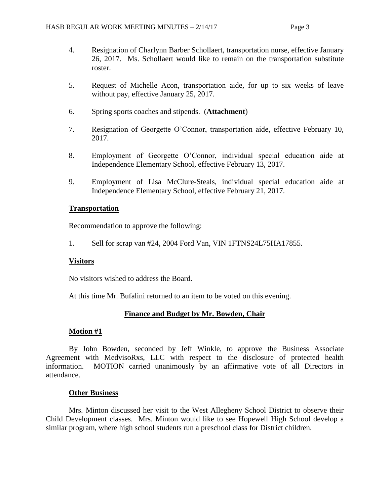- 4. Resignation of Charlynn Barber Schollaert, transportation nurse, effective January 26, 2017. Ms. Schollaert would like to remain on the transportation substitute roster.
- 5. Request of Michelle Acon, transportation aide, for up to six weeks of leave without pay, effective January 25, 2017.
- 6. Spring sports coaches and stipends. (**Attachment**)
- 7. Resignation of Georgette O'Connor, transportation aide, effective February 10, 2017.
- 8. Employment of Georgette O'Connor, individual special education aide at Independence Elementary School, effective February 13, 2017.
- 9. Employment of Lisa McClure-Steals, individual special education aide at Independence Elementary School, effective February 21, 2017.

#### **Transportation**

Recommendation to approve the following:

1. Sell for scrap van #24, 2004 Ford Van, VIN 1FTNS24L75HA17855.

#### **Visitors**

No visitors wished to address the Board.

At this time Mr. Bufalini returned to an item to be voted on this evening.

#### **Finance and Budget by Mr. Bowden, Chair**

#### **Motion #1**

By John Bowden, seconded by Jeff Winkle, to approve the Business Associate Agreement with MedvisoRxs, LLC with respect to the disclosure of protected health information. MOTION carried unanimously by an affirmative vote of all Directors in attendance.

#### **Other Business**

Mrs. Minton discussed her visit to the West Allegheny School District to observe their Child Development classes. Mrs. Minton would like to see Hopewell High School develop a similar program, where high school students run a preschool class for District children.